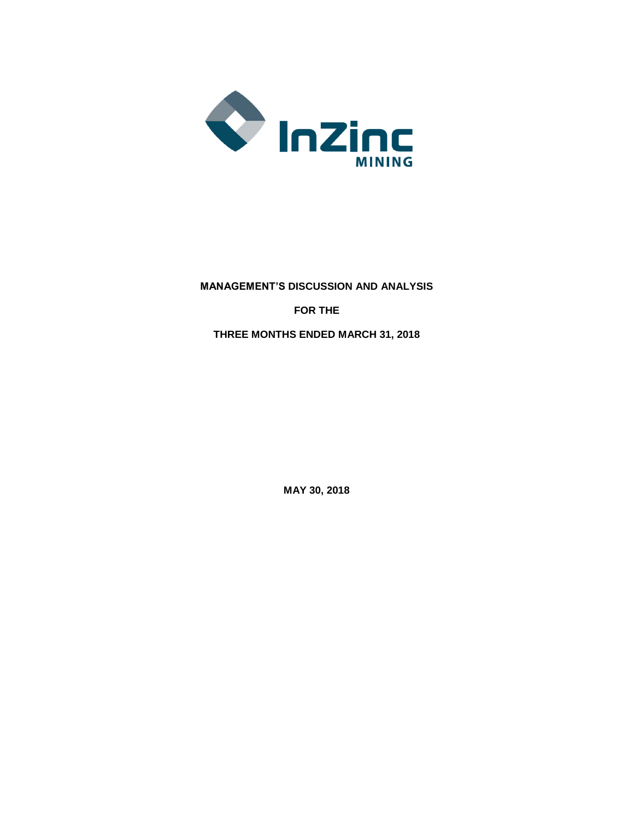

**MANAGEMENT'S DISCUSSION AND ANALYSIS FOR THE THREE MONTHS ENDED MARCH 31, 2018**

**MAY 30, 2018**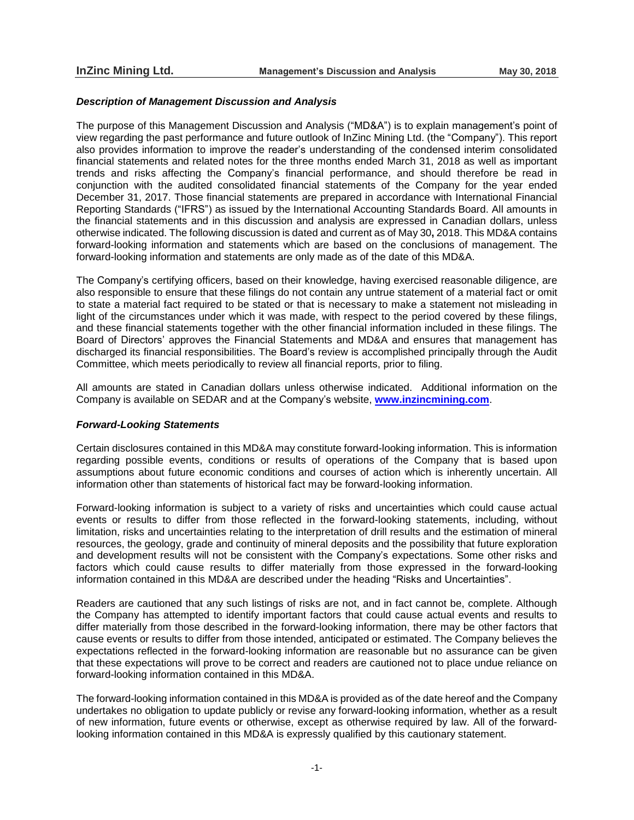#### *Description of Management Discussion and Analysis*

The purpose of this Management Discussion and Analysis ("MD&A") is to explain management's point of view regarding the past performance and future outlook of InZinc Mining Ltd. (the "Company"). This report also provides information to improve the reader's understanding of the condensed interim consolidated financial statements and related notes for the three months ended March 31, 2018 as well as important trends and risks affecting the Company's financial performance, and should therefore be read in conjunction with the audited consolidated financial statements of the Company for the year ended December 31, 2017. Those financial statements are prepared in accordance with International Financial Reporting Standards ("IFRS") as issued by the International Accounting Standards Board. All amounts in the financial statements and in this discussion and analysis are expressed in Canadian dollars, unless otherwise indicated. The following discussion is dated and current as of May 30**,** 2018. This MD&A contains forward-looking information and statements which are based on the conclusions of management. The forward-looking information and statements are only made as of the date of this MD&A.

The Company's certifying officers, based on their knowledge, having exercised reasonable diligence, are also responsible to ensure that these filings do not contain any untrue statement of a material fact or omit to state a material fact required to be stated or that is necessary to make a statement not misleading in light of the circumstances under which it was made, with respect to the period covered by these filings, and these financial statements together with the other financial information included in these filings. The Board of Directors' approves the Financial Statements and MD&A and ensures that management has discharged its financial responsibilities. The Board's review is accomplished principally through the Audit Committee, which meets periodically to review all financial reports, prior to filing.

All amounts are stated in Canadian dollars unless otherwise indicated. Additional information on the Company is available on SEDAR and at the Company's website, **www.inzincmining.com**.

### *Forward-Looking Statements*

Certain disclosures contained in this MD&A may constitute forward-looking information. This is information regarding possible events, conditions or results of operations of the Company that is based upon assumptions about future economic conditions and courses of action which is inherently uncertain. All information other than statements of historical fact may be forward-looking information.

Forward-looking information is subject to a variety of risks and uncertainties which could cause actual events or results to differ from those reflected in the forward-looking statements, including, without limitation, risks and uncertainties relating to the interpretation of drill results and the estimation of mineral resources, the geology, grade and continuity of mineral deposits and the possibility that future exploration and development results will not be consistent with the Company's expectations. Some other risks and factors which could cause results to differ materially from those expressed in the forward-looking information contained in this MD&A are described under the heading "Risks and Uncertainties".

Readers are cautioned that any such listings of risks are not, and in fact cannot be, complete. Although the Company has attempted to identify important factors that could cause actual events and results to differ materially from those described in the forward-looking information, there may be other factors that cause events or results to differ from those intended, anticipated or estimated. The Company believes the expectations reflected in the forward-looking information are reasonable but no assurance can be given that these expectations will prove to be correct and readers are cautioned not to place undue reliance on forward-looking information contained in this MD&A.

The forward-looking information contained in this MD&A is provided as of the date hereof and the Company undertakes no obligation to update publicly or revise any forward-looking information, whether as a result of new information, future events or otherwise, except as otherwise required by law. All of the forwardlooking information contained in this MD&A is expressly qualified by this cautionary statement.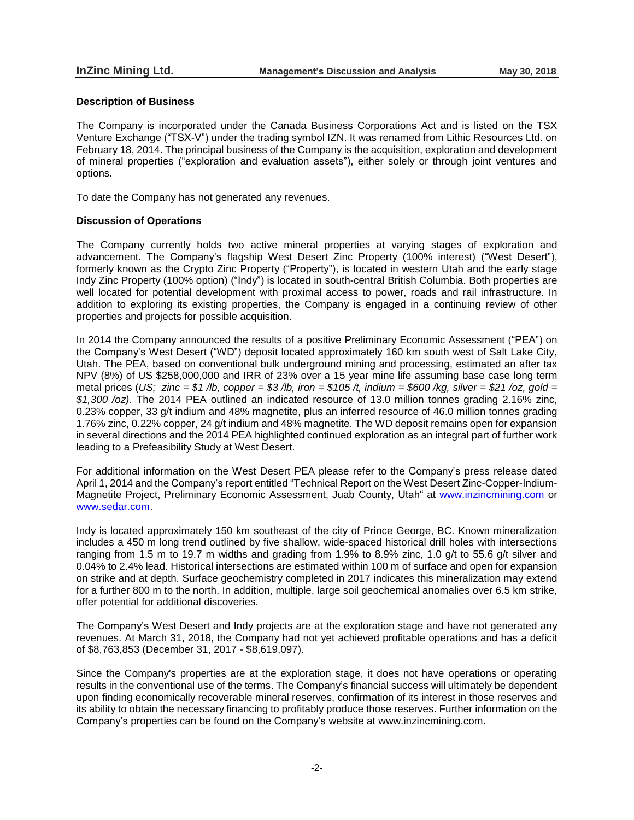## **Description of Business**

The Company is incorporated under the Canada Business Corporations Act and is listed on the TSX Venture Exchange ("TSX-V") under the trading symbol IZN. It was renamed from Lithic Resources Ltd. on February 18, 2014. The principal business of the Company is the acquisition, exploration and development of mineral properties ("exploration and evaluation assets"), either solely or through joint ventures and options.

To date the Company has not generated any revenues.

## **Discussion of Operations**

The Company currently holds two active mineral properties at varying stages of exploration and advancement. The Company's flagship West Desert Zinc Property (100% interest) ("West Desert"), formerly known as the Crypto Zinc Property ("Property"), is located in western Utah and the early stage Indy Zinc Property (100% option) ("Indy") is located in south-central British Columbia. Both properties are well located for potential development with proximal access to power, roads and rail infrastructure. In addition to exploring its existing properties, the Company is engaged in a continuing review of other properties and projects for possible acquisition.

In 2014 the Company announced the results of a positive Preliminary Economic Assessment ("PEA") on the Company's West Desert ("WD") deposit located approximately 160 km south west of Salt Lake City, Utah. The PEA, based on conventional bulk underground mining and processing, estimated an after tax NPV (8%) of US \$258,000,000 and IRR of 23% over a 15 year mine life assuming base case long term metal prices (US; zinc = \$1/lb, copper = \$3/lb, iron = \$105/t, indium = \$600/kg, silver = \$21/oz, gold = *\$1,300 /oz)*. The 2014 PEA outlined an indicated resource of 13.0 million tonnes grading 2.16% zinc, 0.23% copper, 33 g/t indium and 48% magnetite, plus an inferred resource of 46.0 million tonnes grading 1.76% zinc, 0.22% copper, 24 g/t indium and 48% magnetite. The WD deposit remains open for expansion in several directions and the 2014 PEA highlighted continued exploration as an integral part of further work leading to a Prefeasibility Study at West Desert.

For additional information on the West Desert PEA please refer to the Company's press release dated April 1, 2014 and the Company's report entitled "Technical Report on the West Desert Zinc-Copper-Indium-Magnetite Project, Preliminary Economic Assessment, Juab County, Utah" at [www.inzincmining.com](http://www.inzincmining.com/) or [www.sedar.com.](http://www.sedar.com/)

Indy is located approximately 150 km southeast of the city of Prince George, BC. Known mineralization includes a 450 m long trend outlined by five shallow, wide-spaced historical drill holes with intersections ranging from 1.5 m to 19.7 m widths and grading from 1.9% to 8.9% zinc, 1.0 g/t to 55.6 g/t silver and 0.04% to 2.4% lead. Historical intersections are estimated within 100 m of surface and open for expansion on strike and at depth. Surface geochemistry completed in 2017 indicates this mineralization may extend for a further 800 m to the north. In addition, multiple, large soil geochemical anomalies over 6.5 km strike, offer potential for additional discoveries.

The Company's West Desert and Indy projects are at the exploration stage and have not generated any revenues. At March 31, 2018, the Company had not yet achieved profitable operations and has a deficit of \$8,763,853 (December 31, 2017 - \$8,619,097).

Since the Company's properties are at the exploration stage, it does not have operations or operating results in the conventional use of the terms. The Company's financial success will ultimately be dependent upon finding economically recoverable mineral reserves, confirmation of its interest in those reserves and its ability to obtain the necessary financing to profitably produce those reserves. Further information on the Company's properties can be found on the Company's website at www.inzincmining.com.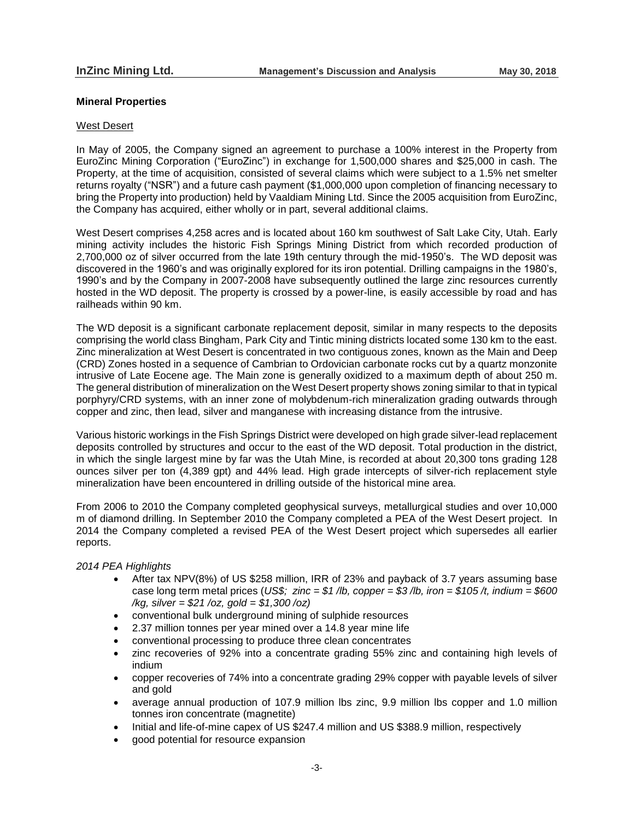## **Mineral Properties**

#### West Desert

In May of 2005, the Company signed an agreement to purchase a 100% interest in the Property from EuroZinc Mining Corporation ("EuroZinc") in exchange for 1,500,000 shares and \$25,000 in cash. The Property, at the time of acquisition, consisted of several claims which were subject to a 1.5% net smelter returns royalty ("NSR") and a future cash payment (\$1,000,000 upon completion of financing necessary to bring the Property into production) held by Vaaldiam Mining Ltd. Since the 2005 acquisition from EuroZinc, the Company has acquired, either wholly or in part, several additional claims.

West Desert comprises 4,258 acres and is located about 160 km southwest of Salt Lake City, Utah. Early mining activity includes the historic Fish Springs Mining District from which recorded production of 2,700,000 oz of silver occurred from the late 19th century through the mid-1950's. The WD deposit was discovered in the 1960's and was originally explored for its iron potential. Drilling campaigns in the 1980's, 1990's and by the Company in 2007-2008 have subsequently outlined the large zinc resources currently hosted in the WD deposit. The property is crossed by a power-line, is easily accessible by road and has railheads within 90 km.

The WD deposit is a significant carbonate replacement deposit, similar in many respects to the deposits comprising the world class Bingham, Park City and Tintic mining districts located some 130 km to the east. Zinc mineralization at West Desert is concentrated in two contiguous zones, known as the Main and Deep (CRD) Zones hosted in a sequence of Cambrian to Ordovician carbonate rocks cut by a quartz monzonite intrusive of Late Eocene age. The Main zone is generally oxidized to a maximum depth of about 250 m. The general distribution of mineralization on the West Desert property shows zoning similar to that in typical porphyry/CRD systems, with an inner zone of molybdenum-rich mineralization grading outwards through copper and zinc, then lead, silver and manganese with increasing distance from the intrusive.

Various historic workings in the Fish Springs District were developed on high grade silver-lead replacement deposits controlled by structures and occur to the east of the WD deposit. Total production in the district, in which the single largest mine by far was the Utah Mine, is recorded at about 20,300 tons grading 128 ounces silver per ton (4,389 gpt) and 44% lead. High grade intercepts of silver-rich replacement style mineralization have been encountered in drilling outside of the historical mine area.

From 2006 to 2010 the Company completed geophysical surveys, metallurgical studies and over 10,000 m of diamond drilling. In September 2010 the Company completed a PEA of the West Desert project. In 2014 the Company completed a revised PEA of the West Desert project which supersedes all earlier reports.

## *2014 PEA Highlights*

- After tax NPV(8%) of US \$258 million, IRR of 23% and payback of 3.7 years assuming base case long term metal prices (*US\$; zinc = \$1 /lb, copper = \$3 /lb, iron = \$105 /t, indium = \$600 /kg, silver = \$21 /oz, gold = \$1,300 /oz)*
- conventional bulk underground mining of sulphide resources
- 2.37 million tonnes per year mined over a 14.8 year mine life
- conventional processing to produce three clean concentrates
- zinc recoveries of 92% into a concentrate grading 55% zinc and containing high levels of indium
- copper recoveries of 74% into a concentrate grading 29% copper with payable levels of silver and gold
- average annual production of 107.9 million lbs zinc, 9.9 million lbs copper and 1.0 million tonnes iron concentrate (magnetite)
- Initial and life-of-mine capex of US \$247.4 million and US \$388.9 million, respectively
- good potential for resource expansion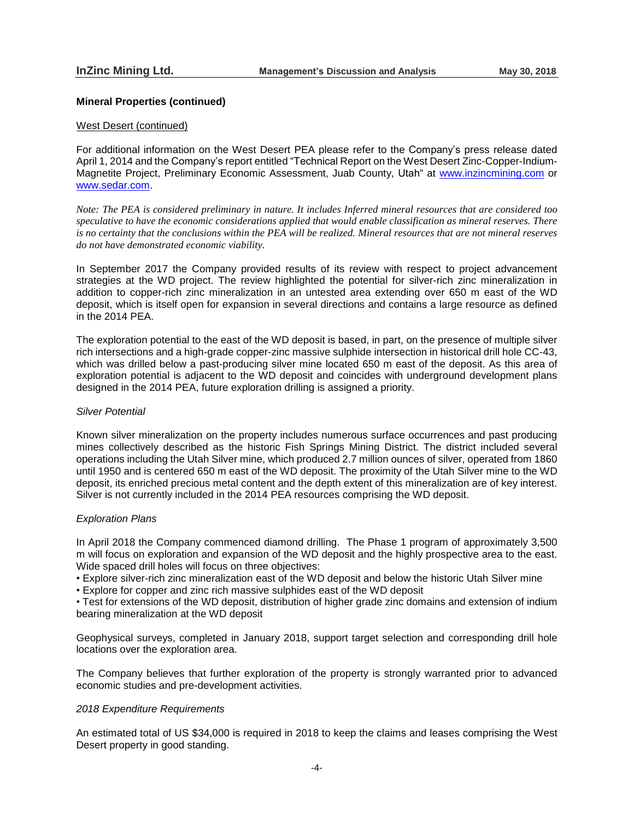#### **Mineral Properties (continued)**

#### West Desert (continued)

For additional information on the West Desert PEA please refer to the Company's press release dated April 1, 2014 and the Company's report entitled "Technical Report on the West Desert Zinc-Copper-Indium-Magnetite Project, Preliminary Economic Assessment, Juab County, Utah" at [www.inzincmining.com](http://www.inzincmining.com/) or [www.sedar.com.](http://www.sedar.com/)

Note: The PEA is considered preliminary in nature. It includes Inferred mineral resources that are considered too *speculative to have the economic considerations applied that would enable classification as mineral reserves. There* is no certainty that the conclusions within the PEA will be realized. Mineral resources that are not mineral reserves *do not have demonstrated economic viability.*

In September 2017 the Company provided results of its review with respect to project advancement strategies at the WD project. The review highlighted the potential for silver-rich zinc mineralization in addition to copper-rich zinc mineralization in an untested area extending over 650 m east of the WD deposit, which is itself open for expansion in several directions and contains a large resource as defined in the 2014 PEA.

The exploration potential to the east of the WD deposit is based, in part, on the presence of multiple silver rich intersections and a high-grade copper-zinc massive sulphide intersection in historical drill hole CC-43, which was drilled below a past-producing silver mine located 650 m east of the deposit. As this area of exploration potential is adjacent to the WD deposit and coincides with underground development plans designed in the 2014 PEA, future exploration drilling is assigned a priority.

#### *Silver Potential*

Known silver mineralization on the property includes numerous surface occurrences and past producing mines collectively described as the historic Fish Springs Mining District. The district included several operations including the Utah Silver mine, which produced 2.7 million ounces of silver, operated from 1860 until 1950 and is centered 650 m east of the WD deposit. The proximity of the Utah Silver mine to the WD deposit, its enriched precious metal content and the depth extent of this mineralization are of key interest. Silver is not currently included in the 2014 PEA resources comprising the WD deposit.

#### *Exploration Plans*

In April 2018 the Company commenced diamond drilling. The Phase 1 program of approximately 3,500 m will focus on exploration and expansion of the WD deposit and the highly prospective area to the east. Wide spaced drill holes will focus on three objectives:

• Explore silver-rich zinc mineralization east of the WD deposit and below the historic Utah Silver mine

• Explore for copper and zinc rich massive sulphides east of the WD deposit

• Test for extensions of the WD deposit, distribution of higher grade zinc domains and extension of indium bearing mineralization at the WD deposit

Geophysical surveys, completed in January 2018, support target selection and corresponding drill hole locations over the exploration area.

The Company believes that further exploration of the property is strongly warranted prior to advanced economic studies and pre-development activities.

#### *2018 Expenditure Requirements*

An estimated total of US \$34,000 is required in 2018 to keep the claims and leases comprising the West Desert property in good standing.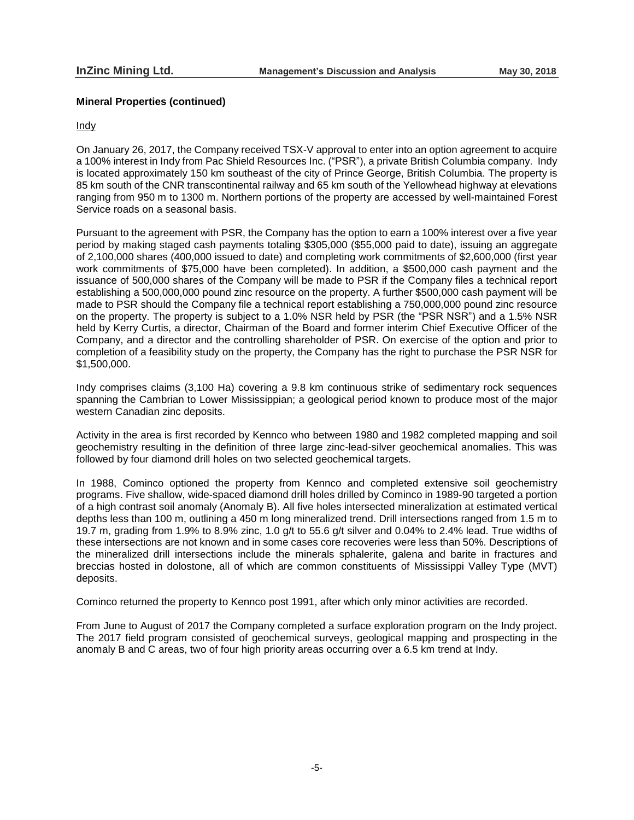## **Mineral Properties (continued)**

#### Indy

On January 26, 2017, the Company received TSX-V approval to enter into an option agreement to acquire a 100% interest in Indy from Pac Shield Resources Inc. ("PSR"), a private British Columbia company. Indy is located approximately 150 km southeast of the city of Prince George, British Columbia. The property is 85 km south of the CNR transcontinental railway and 65 km south of the Yellowhead highway at elevations ranging from 950 m to 1300 m. Northern portions of the property are accessed by well-maintained Forest Service roads on a seasonal basis.

Pursuant to the agreement with PSR, the Company has the option to earn a 100% interest over a five year period by making staged cash payments totaling \$305,000 (\$55,000 paid to date), issuing an aggregate of 2,100,000 shares (400,000 issued to date) and completing work commitments of \$2,600,000 (first year work commitments of \$75,000 have been completed). In addition, a \$500,000 cash payment and the issuance of 500,000 shares of the Company will be made to PSR if the Company files a technical report establishing a 500,000,000 pound zinc resource on the property. A further \$500,000 cash payment will be made to PSR should the Company file a technical report establishing a 750,000,000 pound zinc resource on the property. The property is subject to a 1.0% NSR held by PSR (the "PSR NSR") and a 1.5% NSR held by Kerry Curtis, a director, Chairman of the Board and former interim Chief Executive Officer of the Company, and a director and the controlling shareholder of PSR. On exercise of the option and prior to completion of a feasibility study on the property, the Company has the right to purchase the PSR NSR for \$1,500,000.

Indy comprises claims (3,100 Ha) covering a 9.8 km continuous strike of sedimentary rock sequences spanning the Cambrian to Lower Mississippian; a geological period known to produce most of the major western Canadian zinc deposits.

Activity in the area is first recorded by Kennco who between 1980 and 1982 completed mapping and soil geochemistry resulting in the definition of three large zinc-lead-silver geochemical anomalies. This was followed by four diamond drill holes on two selected geochemical targets.

In 1988, Cominco optioned the property from Kennco and completed extensive soil geochemistry programs. Five shallow, wide-spaced diamond drill holes drilled by Cominco in 1989-90 targeted a portion of a high contrast soil anomaly (Anomaly B). All five holes intersected mineralization at estimated vertical depths less than 100 m, outlining a 450 m long mineralized trend. Drill intersections ranged from 1.5 m to 19.7 m, grading from 1.9% to 8.9% zinc, 1.0 g/t to 55.6 g/t silver and 0.04% to 2.4% lead. True widths of these intersections are not known and in some cases core recoveries were less than 50%. Descriptions of the mineralized drill intersections include the minerals sphalerite, galena and barite in fractures and breccias hosted in dolostone, all of which are common constituents of Mississippi Valley Type (MVT) deposits.

Cominco returned the property to Kennco post 1991, after which only minor activities are recorded.

From June to August of 2017 the Company completed a surface exploration program on the Indy project. The 2017 field program consisted of geochemical surveys, geological mapping and prospecting in the anomaly B and C areas, two of four high priority areas occurring over a 6.5 km trend at Indy.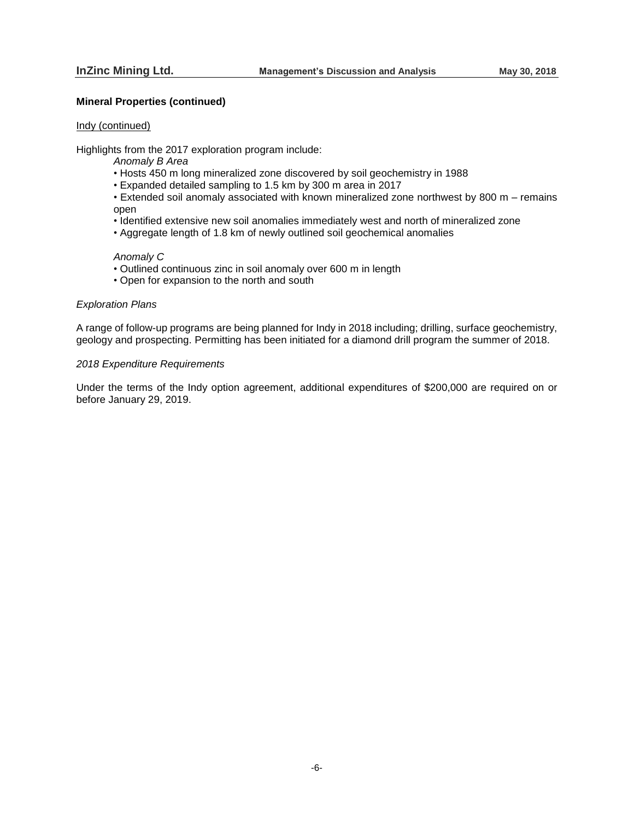# **Mineral Properties (continued)**

#### Indy (continued)

Highlights from the 2017 exploration program include:

- *Anomaly B Area*
- Hosts 450 m long mineralized zone discovered by soil geochemistry in 1988
- Expanded detailed sampling to 1.5 km by 300 m area in 2017
- Extended soil anomaly associated with known mineralized zone northwest by 800 m remains open
- Identified extensive new soil anomalies immediately west and north of mineralized zone
- Aggregate length of 1.8 km of newly outlined soil geochemical anomalies

#### *Anomaly C*

- Outlined continuous zinc in soil anomaly over 600 m in length
- Open for expansion to the north and south

# *Exploration Plans*

A range of follow-up programs are being planned for Indy in 2018 including; drilling, surface geochemistry, geology and prospecting. Permitting has been initiated for a diamond drill program the summer of 2018.

#### *2018 Expenditure Requirements*

Under the terms of the Indy option agreement, additional expenditures of \$200,000 are required on or before January 29, 2019.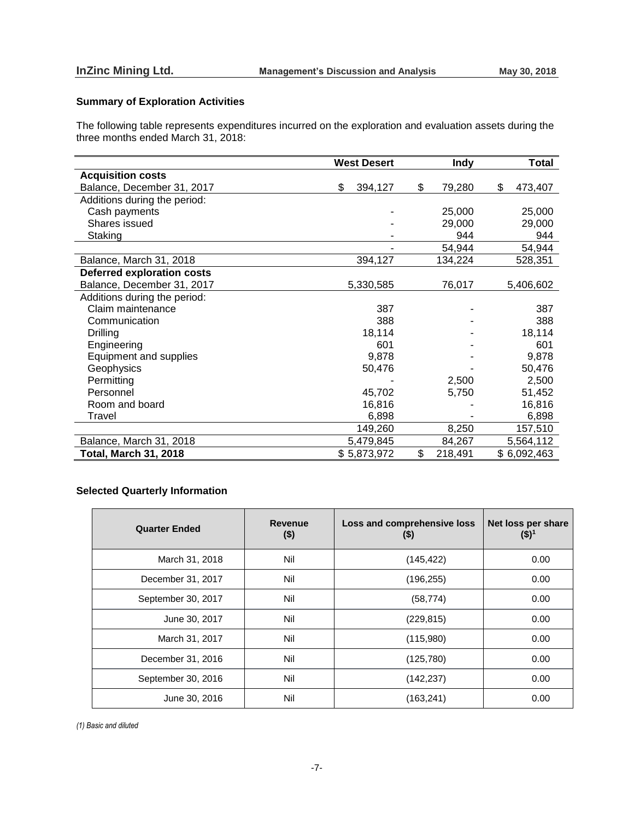# **Summary of Exploration Activities**

The following table represents expenditures incurred on the exploration and evaluation assets during the three months ended March 31, 2018:

|                                   | <b>West Desert</b> | <b>Indy</b>   | <b>Total</b>  |
|-----------------------------------|--------------------|---------------|---------------|
| <b>Acquisition costs</b>          |                    |               |               |
| Balance, December 31, 2017        | \$<br>394,127      | \$<br>79,280  | \$<br>473,407 |
| Additions during the period:      |                    |               |               |
| Cash payments                     |                    | 25,000        | 25,000        |
| Shares issued                     |                    | 29,000        | 29,000        |
| Staking                           |                    | 944           | 944           |
|                                   |                    | 54,944        | 54,944        |
| Balance, March 31, 2018           | 394,127            | 134,224       | 528,351       |
| <b>Deferred exploration costs</b> |                    |               |               |
| Balance, December 31, 2017        | 5,330,585          | 76,017        | 5,406,602     |
| Additions during the period:      |                    |               |               |
| Claim maintenance                 | 387                |               | 387           |
| Communication                     | 388                |               | 388           |
| <b>Drilling</b>                   | 18,114             |               | 18,114        |
| Engineering                       | 601                |               | 601           |
| Equipment and supplies            | 9,878              |               | 9,878         |
| Geophysics                        | 50,476             |               | 50,476        |
| Permitting                        |                    | 2,500         | 2,500         |
| Personnel                         | 45,702             | 5,750         | 51,452        |
| Room and board                    | 16,816             |               | 16,816        |
| Travel                            | 6,898              |               | 6,898         |
|                                   | 149,260            | 8,250         | 157,510       |
| Balance, March 31, 2018           | 5,479,845          | 84,267        | 5,564,112     |
| <b>Total, March 31, 2018</b>      | \$5,873,972        | \$<br>218,491 | \$6,092,463   |

# **Selected Quarterly Information**

| <b>Quarter Ended</b> | <b>Revenue</b><br>$($ \$) | Loss and comprehensive loss<br>(\$) | Net loss per share<br>(\$)' |
|----------------------|---------------------------|-------------------------------------|-----------------------------|
| March 31, 2018       | Nil                       | (145, 422)                          | 0.00                        |
| December 31, 2017    | Nil                       | (196, 255)                          | 0.00                        |
| September 30, 2017   | Nil                       | (58, 774)                           | 0.00                        |
| June 30, 2017        | Nil                       | (229, 815)                          | 0.00                        |
| March 31, 2017       | Nil                       | (115,980)                           | 0.00                        |
| December 31, 2016    | Nil                       | (125, 780)                          | 0.00                        |
| September 30, 2016   | Nil                       | (142, 237)                          | 0.00                        |
| June 30, 2016        | Nil                       | (163, 241)                          | 0.00                        |

*(1) Basic and diluted*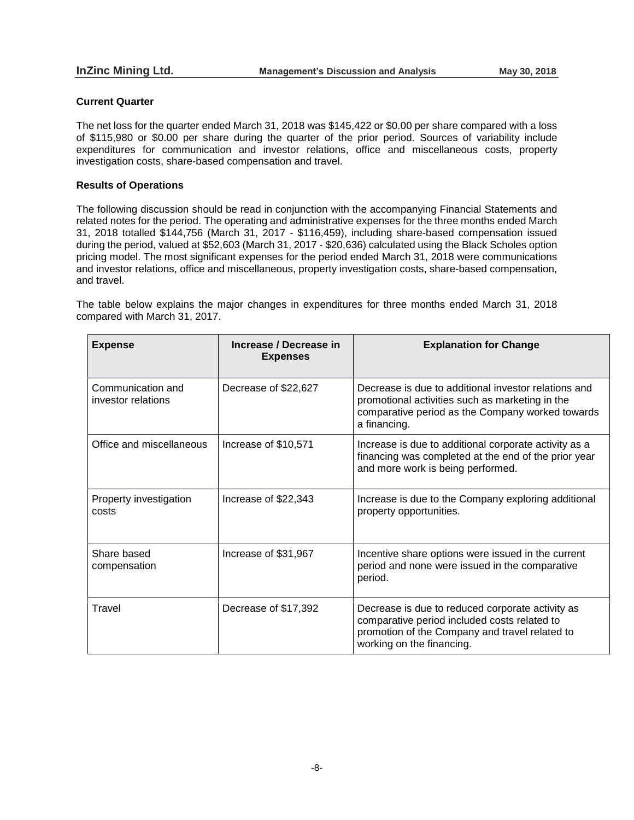# **Current Quarter**

The net loss for the quarter ended March 31, 2018 was \$145,422 or \$0.00 per share compared with a loss of \$115,980 or \$0.00 per share during the quarter of the prior period. Sources of variability include expenditures for communication and investor relations, office and miscellaneous costs, property investigation costs, share-based compensation and travel.

# **Results of Operations**

The following discussion should be read in conjunction with the accompanying Financial Statements and related notes for the period. The operating and administrative expenses for the three months ended March 31, 2018 totalled \$144,756 (March 31, 2017 - \$116,459), including share-based compensation issued during the period, valued at \$52,603 (March 31, 2017 - \$20,636) calculated using the Black Scholes option pricing model. The most significant expenses for the period ended March 31, 2018 were communications and investor relations, office and miscellaneous, property investigation costs, share-based compensation, and travel.

The table below explains the major changes in expenditures for three months ended March 31, 2018 compared with March 31, 2017.

| <b>Expense</b>                          | Increase / Decrease in<br><b>Expenses</b> | <b>Explanation for Change</b>                                                                                                                                                   |
|-----------------------------------------|-------------------------------------------|---------------------------------------------------------------------------------------------------------------------------------------------------------------------------------|
| Communication and<br>investor relations | Decrease of \$22,627                      | Decrease is due to additional investor relations and<br>promotional activities such as marketing in the<br>comparative period as the Company worked towards<br>a financing.     |
| Office and miscellaneous                | Increase of \$10,571                      | Increase is due to additional corporate activity as a<br>financing was completed at the end of the prior year<br>and more work is being performed.                              |
| Property investigation<br>costs         | Increase of \$22,343                      | Increase is due to the Company exploring additional<br>property opportunities.                                                                                                  |
| Share based<br>compensation             | Increase of \$31,967                      | Incentive share options were issued in the current<br>period and none were issued in the comparative<br>period.                                                                 |
| Travel                                  | Decrease of \$17,392                      | Decrease is due to reduced corporate activity as<br>comparative period included costs related to<br>promotion of the Company and travel related to<br>working on the financing. |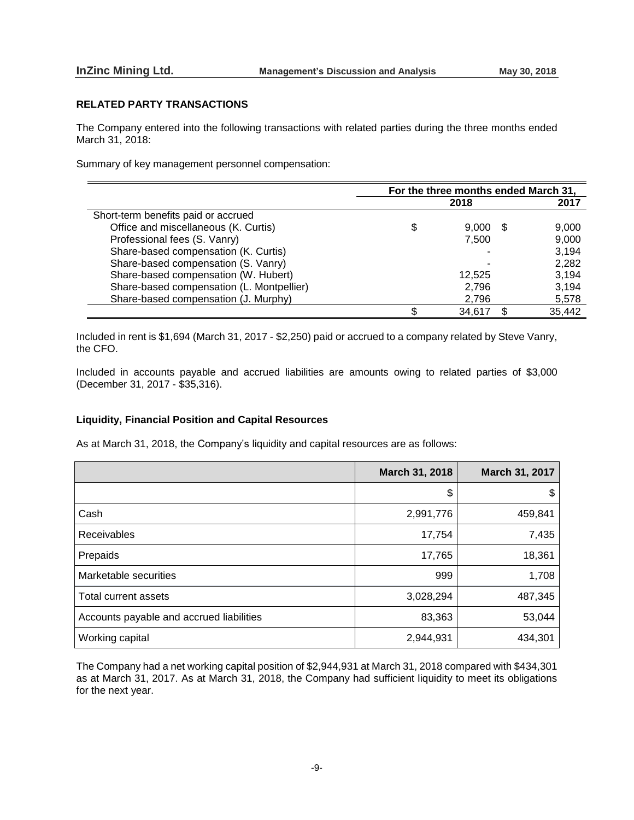## **RELATED PARTY TRANSACTIONS**

The Company entered into the following transactions with related parties during the three months ended March 31, 2018:

Summary of key management personnel compensation:

|                                           | For the three months ended March 31, |        |   |        |
|-------------------------------------------|--------------------------------------|--------|---|--------|
|                                           |                                      | 2018   |   | 2017   |
| Short-term benefits paid or accrued       |                                      |        |   |        |
| Office and miscellaneous (K. Curtis)      | S                                    | 9.000  | Ъ | 9,000  |
| Professional fees (S. Vanry)              |                                      | 7,500  |   | 9,000  |
| Share-based compensation (K. Curtis)      |                                      |        |   | 3,194  |
| Share-based compensation (S. Vanry)       |                                      |        |   | 2,282  |
| Share-based compensation (W. Hubert)      |                                      | 12.525 |   | 3,194  |
| Share-based compensation (L. Montpellier) |                                      | 2,796  |   | 3,194  |
| Share-based compensation (J. Murphy)      |                                      | 2,796  |   | 5,578  |
|                                           |                                      | 34.617 |   | 35,442 |

Included in rent is \$1,694 (March 31, 2017 - \$2,250) paid or accrued to a company related by Steve Vanry, the CFO.

Included in accounts payable and accrued liabilities are amounts owing to related parties of \$3,000 (December 31, 2017 - \$35,316).

## **Liquidity, Financial Position and Capital Resources**

As at March 31, 2018, the Company's liquidity and capital resources are as follows:

|                                          | March 31, 2018 | <b>March 31, 2017</b> |
|------------------------------------------|----------------|-----------------------|
|                                          | \$             | \$                    |
| Cash                                     | 2,991,776      | 459,841               |
| <b>Receivables</b>                       | 17,754         | 7,435                 |
| Prepaids                                 | 17,765         | 18,361                |
| Marketable securities                    | 999            | 1,708                 |
| Total current assets                     | 3,028,294      | 487,345               |
| Accounts payable and accrued liabilities | 83,363         | 53,044                |
| Working capital                          | 2,944,931      | 434,301               |

The Company had a net working capital position of \$2,944,931 at March 31, 2018 compared with \$434,301 as at March 31, 2017. As at March 31, 2018, the Company had sufficient liquidity to meet its obligations for the next year.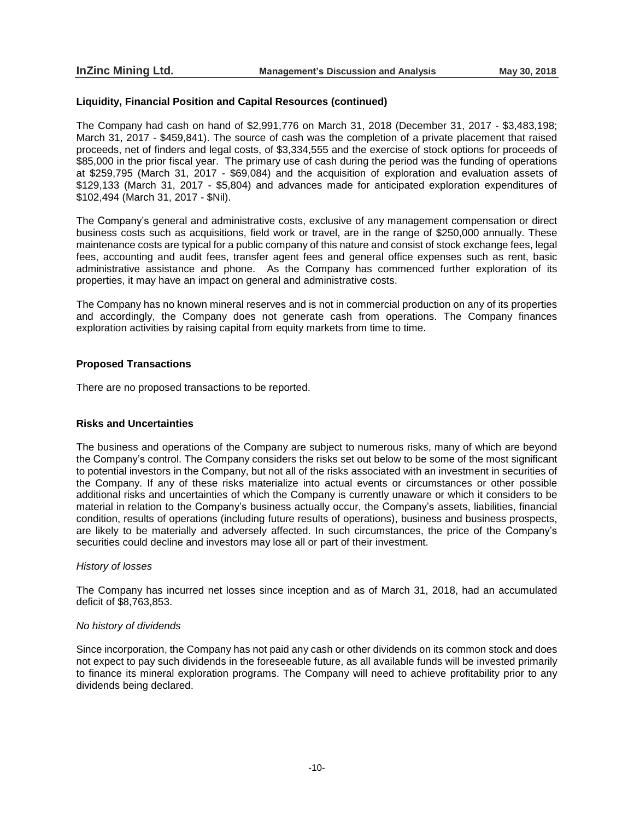## **Liquidity, Financial Position and Capital Resources (continued)**

The Company had cash on hand of \$2,991,776 on March 31, 2018 (December 31, 2017 - \$3,483,198; March 31, 2017 - \$459,841). The source of cash was the completion of a private placement that raised proceeds, net of finders and legal costs, of \$3,334,555 and the exercise of stock options for proceeds of \$85,000 in the prior fiscal year. The primary use of cash during the period was the funding of operations at \$259,795 (March 31, 2017 - \$69,084) and the acquisition of exploration and evaluation assets of \$129,133 (March 31, 2017 - \$5,804) and advances made for anticipated exploration expenditures of \$102,494 (March 31, 2017 - \$Nil).

The Company's general and administrative costs, exclusive of any management compensation or direct business costs such as acquisitions, field work or travel, are in the range of \$250,000 annually. These maintenance costs are typical for a public company of this nature and consist of stock exchange fees, legal fees, accounting and audit fees, transfer agent fees and general office expenses such as rent, basic administrative assistance and phone. As the Company has commenced further exploration of its properties, it may have an impact on general and administrative costs.

The Company has no known mineral reserves and is not in commercial production on any of its properties and accordingly, the Company does not generate cash from operations. The Company finances exploration activities by raising capital from equity markets from time to time.

## **Proposed Transactions**

There are no proposed transactions to be reported.

#### **Risks and Uncertainties**

The business and operations of the Company are subject to numerous risks, many of which are beyond the Company's control. The Company considers the risks set out below to be some of the most significant to potential investors in the Company, but not all of the risks associated with an investment in securities of the Company. If any of these risks materialize into actual events or circumstances or other possible additional risks and uncertainties of which the Company is currently unaware or which it considers to be material in relation to the Company's business actually occur, the Company's assets, liabilities, financial condition, results of operations (including future results of operations), business and business prospects, are likely to be materially and adversely affected. In such circumstances, the price of the Company's securities could decline and investors may lose all or part of their investment.

#### *History of losses*

The Company has incurred net losses since inception and as of March 31, 2018, had an accumulated deficit of \$8,763,853.

#### *No history of dividends*

Since incorporation, the Company has not paid any cash or other dividends on its common stock and does not expect to pay such dividends in the foreseeable future, as all available funds will be invested primarily to finance its mineral exploration programs. The Company will need to achieve profitability prior to any dividends being declared.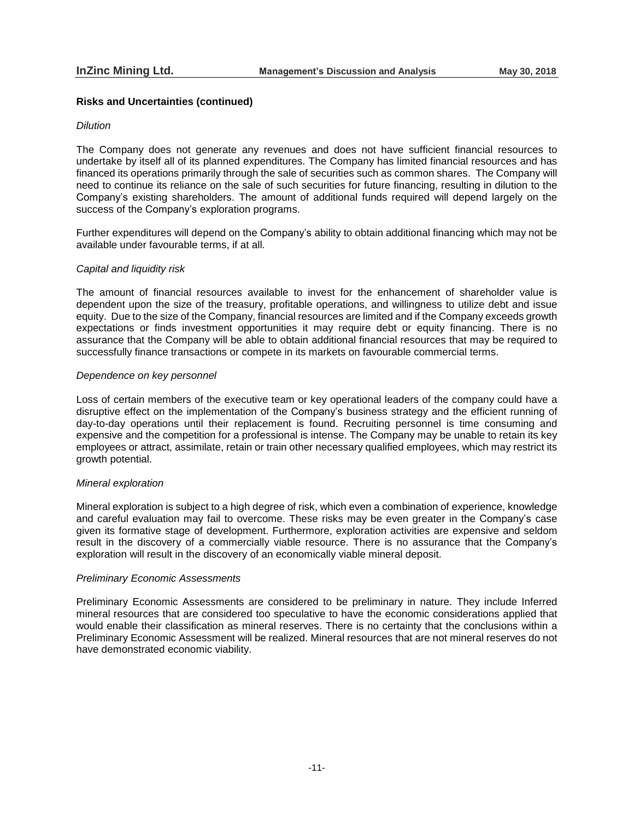## **Risks and Uncertainties (continued)**

### *Dilution*

The Company does not generate any revenues and does not have sufficient financial resources to undertake by itself all of its planned expenditures. The Company has limited financial resources and has financed its operations primarily through the sale of securities such as common shares. The Company will need to continue its reliance on the sale of such securities for future financing, resulting in dilution to the Company's existing shareholders. The amount of additional funds required will depend largely on the success of the Company's exploration programs.

Further expenditures will depend on the Company's ability to obtain additional financing which may not be available under favourable terms, if at all.

## *Capital and liquidity risk*

The amount of financial resources available to invest for the enhancement of shareholder value is dependent upon the size of the treasury, profitable operations, and willingness to utilize debt and issue equity. Due to the size of the Company, financial resources are limited and if the Company exceeds growth expectations or finds investment opportunities it may require debt or equity financing. There is no assurance that the Company will be able to obtain additional financial resources that may be required to successfully finance transactions or compete in its markets on favourable commercial terms.

## *Dependence on key personnel*

Loss of certain members of the executive team or key operational leaders of the company could have a disruptive effect on the implementation of the Company's business strategy and the efficient running of day-to-day operations until their replacement is found. Recruiting personnel is time consuming and expensive and the competition for a professional is intense. The Company may be unable to retain its key employees or attract, assimilate, retain or train other necessary qualified employees, which may restrict its growth potential.

### *Mineral exploration*

Mineral exploration is subject to a high degree of risk, which even a combination of experience, knowledge and careful evaluation may fail to overcome. These risks may be even greater in the Company's case given its formative stage of development. Furthermore, exploration activities are expensive and seldom result in the discovery of a commercially viable resource. There is no assurance that the Company's exploration will result in the discovery of an economically viable mineral deposit.

### *Preliminary Economic Assessments*

Preliminary Economic Assessments are considered to be preliminary in nature. They include Inferred mineral resources that are considered too speculative to have the economic considerations applied that would enable their classification as mineral reserves. There is no certainty that the conclusions within a Preliminary Economic Assessment will be realized. Mineral resources that are not mineral reserves do not have demonstrated economic viability.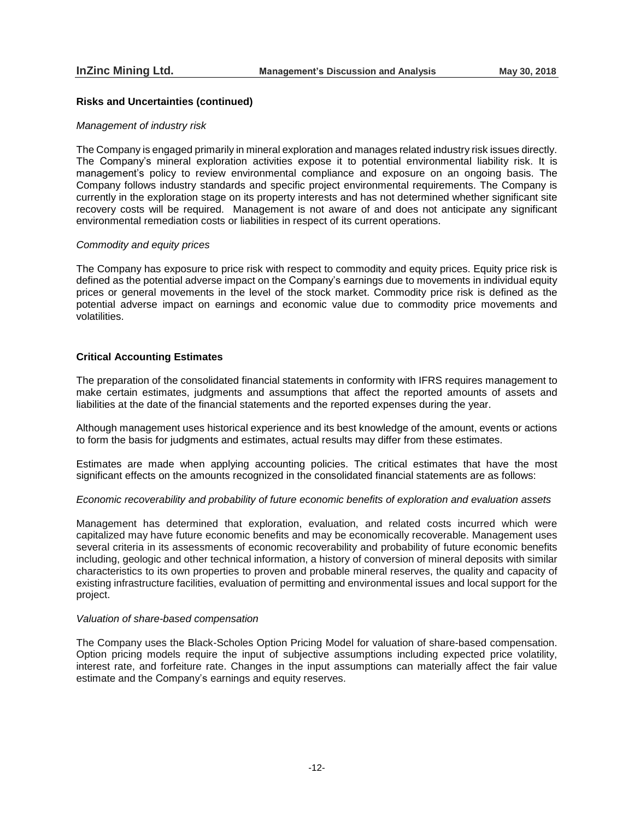## **Risks and Uncertainties (continued)**

#### *Management of industry risk*

The Company is engaged primarily in mineral exploration and manages related industry risk issues directly. The Company's mineral exploration activities expose it to potential environmental liability risk. It is management's policy to review environmental compliance and exposure on an ongoing basis. The Company follows industry standards and specific project environmental requirements. The Company is currently in the exploration stage on its property interests and has not determined whether significant site recovery costs will be required. Management is not aware of and does not anticipate any significant environmental remediation costs or liabilities in respect of its current operations.

#### *Commodity and equity prices*

The Company has exposure to price risk with respect to commodity and equity prices. Equity price risk is defined as the potential adverse impact on the Company's earnings due to movements in individual equity prices or general movements in the level of the stock market. Commodity price risk is defined as the potential adverse impact on earnings and economic value due to commodity price movements and volatilities.

## **Critical Accounting Estimates**

The preparation of the consolidated financial statements in conformity with IFRS requires management to make certain estimates, judgments and assumptions that affect the reported amounts of assets and liabilities at the date of the financial statements and the reported expenses during the year.

Although management uses historical experience and its best knowledge of the amount, events or actions to form the basis for judgments and estimates, actual results may differ from these estimates.

Estimates are made when applying accounting policies. The critical estimates that have the most significant effects on the amounts recognized in the consolidated financial statements are as follows:

#### *Economic recoverability and probability of future economic benefits of exploration and evaluation assets*

Management has determined that exploration, evaluation, and related costs incurred which were capitalized may have future economic benefits and may be economically recoverable. Management uses several criteria in its assessments of economic recoverability and probability of future economic benefits including, geologic and other technical information, a history of conversion of mineral deposits with similar characteristics to its own properties to proven and probable mineral reserves, the quality and capacity of existing infrastructure facilities, evaluation of permitting and environmental issues and local support for the project.

#### *Valuation of share-based compensation*

The Company uses the Black-Scholes Option Pricing Model for valuation of share-based compensation. Option pricing models require the input of subjective assumptions including expected price volatility, interest rate, and forfeiture rate. Changes in the input assumptions can materially affect the fair value estimate and the Company's earnings and equity reserves.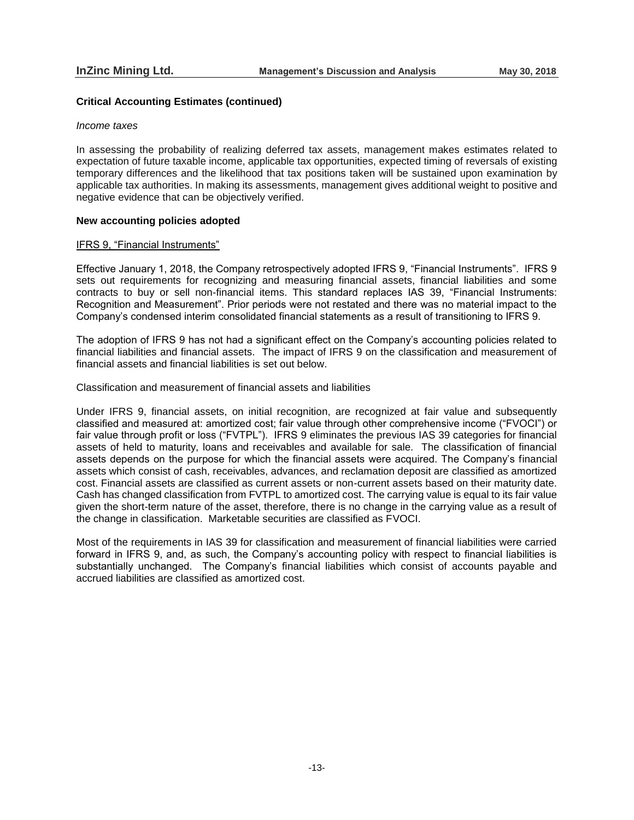## **Critical Accounting Estimates (continued)**

### *Income taxes*

In assessing the probability of realizing deferred tax assets, management makes estimates related to expectation of future taxable income, applicable tax opportunities, expected timing of reversals of existing temporary differences and the likelihood that tax positions taken will be sustained upon examination by applicable tax authorities. In making its assessments, management gives additional weight to positive and negative evidence that can be objectively verified.

## **New accounting policies adopted**

### IFRS 9, "Financial Instruments"

Effective January 1, 2018, the Company retrospectively adopted IFRS 9, "Financial Instruments". IFRS 9 sets out requirements for recognizing and measuring financial assets, financial liabilities and some contracts to buy or sell non-financial items. This standard replaces IAS 39, "Financial Instruments: Recognition and Measurement". Prior periods were not restated and there was no material impact to the Company's condensed interim consolidated financial statements as a result of transitioning to IFRS 9.

The adoption of IFRS 9 has not had a significant effect on the Company's accounting policies related to financial liabilities and financial assets. The impact of IFRS 9 on the classification and measurement of financial assets and financial liabilities is set out below.

Classification and measurement of financial assets and liabilities

Under IFRS 9, financial assets, on initial recognition, are recognized at fair value and subsequently classified and measured at: amortized cost; fair value through other comprehensive income ("FVOCI") or fair value through profit or loss ("FVTPL"). IFRS 9 eliminates the previous IAS 39 categories for financial assets of held to maturity, loans and receivables and available for sale. The classification of financial assets depends on the purpose for which the financial assets were acquired. The Company's financial assets which consist of cash, receivables, advances, and reclamation deposit are classified as amortized cost. Financial assets are classified as current assets or non-current assets based on their maturity date. Cash has changed classification from FVTPL to amortized cost. The carrying value is equal to its fair value given the short-term nature of the asset, therefore, there is no change in the carrying value as a result of the change in classification. Marketable securities are classified as FVOCI.

Most of the requirements in IAS 39 for classification and measurement of financial liabilities were carried forward in IFRS 9, and, as such, the Company's accounting policy with respect to financial liabilities is substantially unchanged. The Company's financial liabilities which consist of accounts payable and accrued liabilities are classified as amortized cost.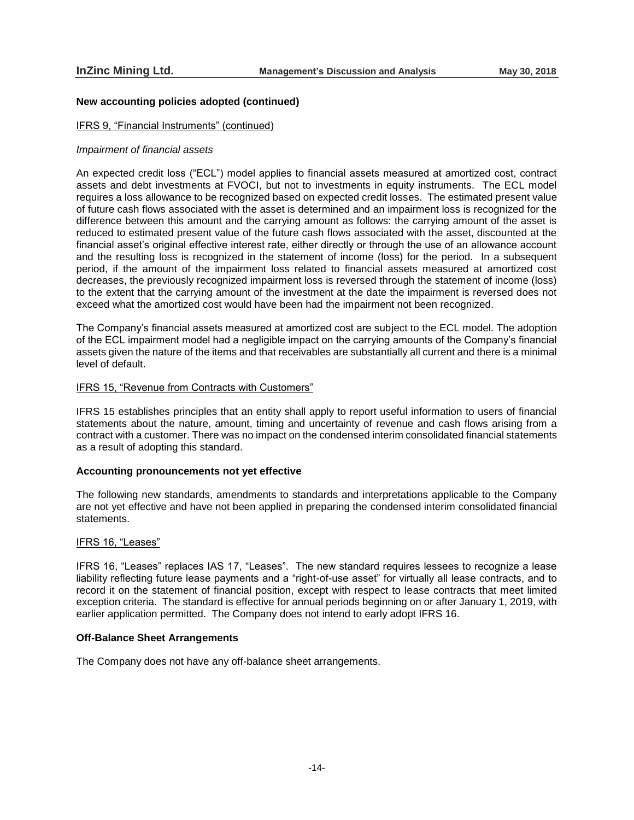## **New accounting policies adopted (continued)**

### IFRS 9, "Financial Instruments" (continued)

#### *Impairment of financial assets*

An expected credit loss ("ECL") model applies to financial assets measured at amortized cost, contract assets and debt investments at FVOCI, but not to investments in equity instruments. The ECL model requires a loss allowance to be recognized based on expected credit losses. The estimated present value of future cash flows associated with the asset is determined and an impairment loss is recognized for the difference between this amount and the carrying amount as follows: the carrying amount of the asset is reduced to estimated present value of the future cash flows associated with the asset, discounted at the financial asset's original effective interest rate, either directly or through the use of an allowance account and the resulting loss is recognized in the statement of income (loss) for the period. In a subsequent period, if the amount of the impairment loss related to financial assets measured at amortized cost decreases, the previously recognized impairment loss is reversed through the statement of income (loss) to the extent that the carrying amount of the investment at the date the impairment is reversed does not exceed what the amortized cost would have been had the impairment not been recognized.

The Company's financial assets measured at amortized cost are subject to the ECL model. The adoption of the ECL impairment model had a negligible impact on the carrying amounts of the Company's financial assets given the nature of the items and that receivables are substantially all current and there is a minimal level of default.

## IFRS 15, "Revenue from Contracts with Customers"

IFRS 15 establishes principles that an entity shall apply to report useful information to users of financial statements about the nature, amount, timing and uncertainty of revenue and cash flows arising from a contract with a customer. There was no impact on the condensed interim consolidated financial statements as a result of adopting this standard.

#### **Accounting pronouncements not yet effective**

The following new standards, amendments to standards and interpretations applicable to the Company are not yet effective and have not been applied in preparing the condensed interim consolidated financial statements.

#### IFRS 16, "Leases"

IFRS 16, "Leases" replaces IAS 17, "Leases". The new standard requires lessees to recognize a lease liability reflecting future lease payments and a "right-of-use asset" for virtually all lease contracts, and to record it on the statement of financial position, except with respect to lease contracts that meet limited exception criteria. The standard is effective for annual periods beginning on or after January 1, 2019, with earlier application permitted. The Company does not intend to early adopt IFRS 16.

## **Off-Balance Sheet Arrangements**

The Company does not have any off-balance sheet arrangements.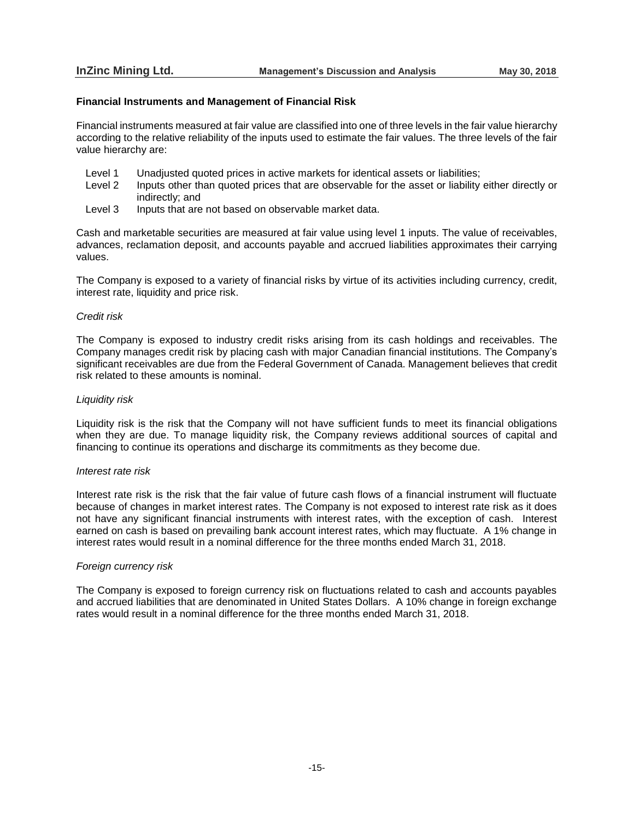### **Financial Instruments and Management of Financial Risk**

Financial instruments measured at fair value are classified into one of three levels in the fair value hierarchy according to the relative reliability of the inputs used to estimate the fair values. The three levels of the fair value hierarchy are:

- Level 1 Unadjusted quoted prices in active markets for identical assets or liabilities;
- Level 2 Inputs other than quoted prices that are observable for the asset or liability either directly or indirectly; and
- Level 3 Inputs that are not based on observable market data.

Cash and marketable securities are measured at fair value using level 1 inputs. The value of receivables, advances, reclamation deposit, and accounts payable and accrued liabilities approximates their carrying values.

The Company is exposed to a variety of financial risks by virtue of its activities including currency, credit, interest rate, liquidity and price risk.

#### *Credit risk*

The Company is exposed to industry credit risks arising from its cash holdings and receivables. The Company manages credit risk by placing cash with major Canadian financial institutions. The Company's significant receivables are due from the Federal Government of Canada. Management believes that credit risk related to these amounts is nominal.

### *Liquidity risk*

Liquidity risk is the risk that the Company will not have sufficient funds to meet its financial obligations when they are due. To manage liquidity risk, the Company reviews additional sources of capital and financing to continue its operations and discharge its commitments as they become due.

### *Interest rate risk*

Interest rate risk is the risk that the fair value of future cash flows of a financial instrument will fluctuate because of changes in market interest rates. The Company is not exposed to interest rate risk as it does not have any significant financial instruments with interest rates, with the exception of cash. Interest earned on cash is based on prevailing bank account interest rates, which may fluctuate. A 1% change in interest rates would result in a nominal difference for the three months ended March 31, 2018.

#### *Foreign currency risk*

The Company is exposed to foreign currency risk on fluctuations related to cash and accounts payables and accrued liabilities that are denominated in United States Dollars. A 10% change in foreign exchange rates would result in a nominal difference for the three months ended March 31, 2018.